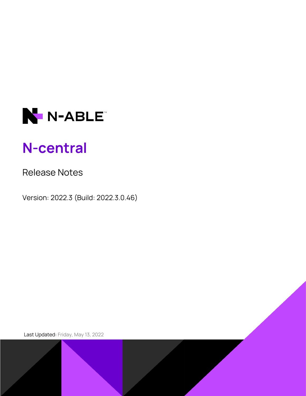

# **N-central**

# Release Notes

Version: 2022.3 (Build: 2022.3.0.46)

Last Updated: Friday, May 13, 2022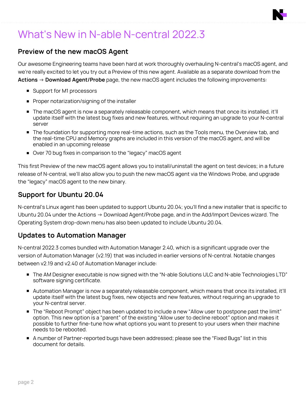# What's New in N-able N-central 2022.3

## **Preview of the new macOS Agent**

Our awesome Engineering teams have been hard at work thoroughly overhauling N-central's macOS agent, and we're really excited to let you try out a Preview of this new agent. Available as a separate download from the **Actions** → **Download Agent/Probe** page, the new macOS agent includes the following improvements:

- Support for M1 processors
- **Proper notarization/signing of the installer**
- The macOS agent is now a separately releasable component, which means that once its installed, it'll update itself with the latest bug fixes and new features, without requiring an upgrade to your N-central server
- **The foundation for supporting more real-time actions, such as the Tools menu, the Overview tab, and** the real-time CPU and Memory graphs are included in this version of the macOS agent, and will be enabled in an upcoming release
- Over 70 bug fixes in comparison to the "legacy" macOS agent

This first Preview of the new macOS agent allows you to install/uninstall the agent on test devices; in a future release of N-central, we'll also allow you to push the new macOS agent via the Windows Probe, and upgrade the "legacy" macOS agent to the new binary.

### **Support for Ubuntu 20.04**

N-central's Linux agent has been updated to support Ubuntu 20.04; you'll find a new installer that is specific to Ubuntu 20.04 under the Actions → Download Agent/Probe page, and in the Add/Import Devices wizard. The Operating System drop-down menu has also been updated to include Ubuntu 20.04.

### **Updates to Automation Manager**

N-central 2022.3 comes bundled with Automation Manager 2.40, which is a significant upgrade over the version of Automation Manager (v2.19) that was included in earlier versions of N-central. Notable changes between v2.19 and v2.40 of Automation Manager include:

- **The AM Designer executable is now signed with the "N-able Solutions ULC and N-able Technologies LTD"** software signing certificate.
- **Automation Manager is now a separately releasable component, which means that once its installed, it'll** update itself with the latest bug fixes, new objects and new features, without requiring an upgrade to your N-central server.
- **The "Reboot Prompt" object has been updated to include a new "Allow user to postpone past the limit"** option. This new option is a "parent" of the existing "Allow user to decline reboot" option and makes it possible to further fine-tune how what options you want to present to your users when their machine needs to be rebooted.
- **A number of Partner-reported bugs have been addressed; please see the "Fixed Bugs" list in this** document for details.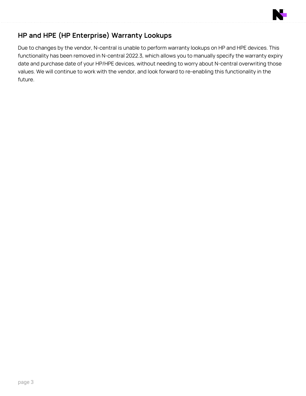

# **HP and HPE (HP Enterprise) Warranty Lookups**

Due to changes by the vendor, N-central is unable to perform warranty lookups on HP and HPE devices. This functionality has been removed in N-central 2022.3, which allows you to manually specify the warranty expiry date and purchase date of your HP/HPE devices, without needing to worry about N-central overwriting those values. We will continue to work with the vendor, and look forward to re-enabling this functionality in the future.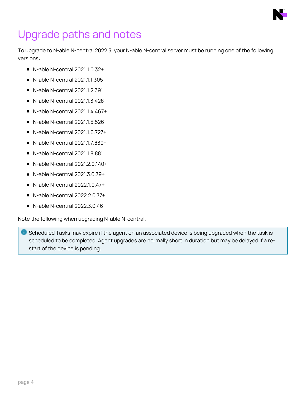# Upgrade paths and notes

To upgrade to N-able N-central 2022.3, your N-able N-central server must be running one of the following versions:

- $\blacksquare$  N-able N-central 2021.1.0.32+
- n N-able N-central 2021.1.1.305
- $\blacksquare$  N-able N-central 2021.1.2.391
- n N-able N-central 2021.1.3.428
- n N-able N-central 2021.1.4.467+
- n N-able N-central 2021.1.5.526
- n N-able N-central 2021.1.6.727+
- n N-able N-central 2021.1.7.830+
- n N-able N-central 2021.1.8.881
- n N-able N-central 2021.2.0.140+
- $\blacksquare$  N-able N-central 2021.3.0.79+
- $\blacksquare$  N-able N-central 2022.1.0.47+
- $\blacksquare$  N-able N-central 2022.2.0.77+
- $\blacksquare$  N-able N-central 2022.3.0.46

Note the following when upgrading N-able N-central.

**C** Scheduled Tasks may expire if the agent on an associated device is being upgraded when the task is scheduled to be completed. Agent upgrades are normally short in duration but may be delayed if a restart of the device is pending.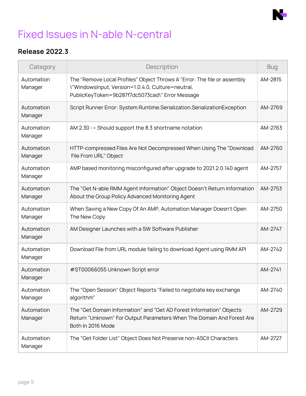# Fixed Issues in N-able N-central

# **Release 2022.3**

| Category              | Description                                                                                                                                                                      | <b>Bug</b> |
|-----------------------|----------------------------------------------------------------------------------------------------------------------------------------------------------------------------------|------------|
| Automation<br>Manager | The "Remove Local Profiles" Object Throws A "Error: The file or assembly<br>\"WindowsInput, Version=1.0.4.0, Culture=neutral,<br>PublicKeyToken=9b287f7dc5073cad\" Error Message | AM-2815    |
| Automation<br>Manager | Script Runner Error: System.Runtime.Serialization.SerializationException                                                                                                         | AM-2769    |
| Automation<br>Manager | AM 2.30 - > Should support the 8.3 shortname notation                                                                                                                            | AM-2763    |
| Automation<br>Manager | HTTP-compressed Files Are Not Decompressed When Using The "Download<br>File From URL" Object                                                                                     | AM-2760    |
| Automation<br>Manager | AMP based monitoring misconfigured after upgrade to 2021.2.0.140 agent                                                                                                           | AM-2757    |
| Automation<br>Manager | The "Get N-able RMM Agent Information" Object Doesn't Return Information<br>About the Group Policy Advanced Monitoring Agent                                                     | AM-2753    |
| Automation<br>Manager | When Saving a New Copy Of An AMP, Automation Manager Doesn't Open<br>The New Copy                                                                                                | AM-2750    |
| Automation<br>Manager | AM Designer Launches with a SW Software Publisher                                                                                                                                | AM-2747    |
| Automation<br>Manager | Download File from URL module failing to download Agent using RMM API                                                                                                            | AM-2742    |
| Automation<br>Manager | #ST00066055 Unknown Script error                                                                                                                                                 | AM-2741    |
| Automation<br>Manager | The "Open Session" Object Reports "Failed to negotiate key exchange<br>algorithm"                                                                                                | AM-2740    |
| Automation<br>Manager | The "Get Domain Information" and "Get AD Forest Information" Objects<br>Return "Unknown" For Output Parameters When The Domain And Forest Are<br>Both In 2016 Mode               | AM-2729    |
| Automation<br>Manager | The "Get Folder List" Object Does Not Preserve non-ASCII Characters                                                                                                              | AM-2727    |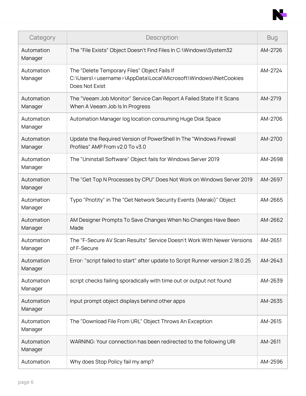

| Category              | Description                                                                                                                                    | <b>Bug</b> |
|-----------------------|------------------------------------------------------------------------------------------------------------------------------------------------|------------|
| Automation<br>Manager | The "File Exists" Object Doesn't Find Files In C: \Windows\System32                                                                            | AM-2726    |
| Automation<br>Manager | The "Delete Temporary Files" Object Fails If<br>C:\Users\ <username>\AppData\Local\Microsoft\Windows\INetCookies<br/>Does Not Exist</username> | AM-2724    |
| Automation<br>Manager | The "Veeam Job Monitor" Service Can Report A Failed State If It Scans<br>When A Veeam Job Is In Progress                                       | AM-2719    |
| Automation<br>Manager | Automation Manager log location consuming Huge Disk Space                                                                                      | AM-2706    |
| Automation<br>Manager | Update the Required Version of PowerShell In The "Windows Firewall<br>Profiles" AMP From v2.0 To v3.0                                          | AM-2700    |
| Automation<br>Manager | The "Uninstall Software" Object fails for Windows Server 2019                                                                                  | AM-2698    |
| Automation<br>Manager | The "Get Top N Processes by CPU" Does Not Work on Windows Server 2019                                                                          | AM-2697    |
| Automation<br>Manager | Typo "Priotity" in The "Get Network Security Events (Meraki)" Object                                                                           | AM-2665    |
| Automation<br>Manager | AM Designer Prompts To Save Changes When No Changes Have Been<br>Made                                                                          | AM-2662    |
| Automation<br>Manager | The "F-Secure AV Scan Results" Service Doesn't Work With Newer Versions<br>of F-Secure                                                         | AM-2651    |
| Automation<br>Manager | Error: "script failed to start" after update to Script Runner version 2.18.0.25                                                                | AM-2643    |
| Automation<br>Manager | script checks failing sporadically with time out or output not found                                                                           | AM-2639    |
| Automation<br>Manager | Input prompt object displays behind other apps                                                                                                 | AM-2635    |
| Automation<br>Manager | The "Download File From URL" Object Throws An Exception                                                                                        | AM-2615    |
| Automation<br>Manager | WARNING: Your connection has been redirected to the following URI                                                                              | AM-2611    |
| Automation            | Why does Stop Policy fail my amp?                                                                                                              | AM-2596    |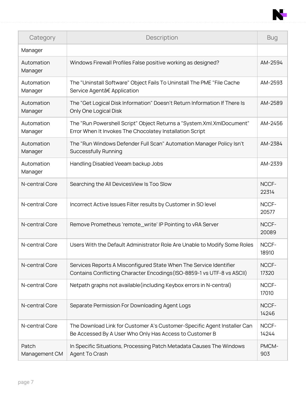

| Category               | Description                                                                                                                                   | <b>Bug</b>     |
|------------------------|-----------------------------------------------------------------------------------------------------------------------------------------------|----------------|
| Manager                |                                                                                                                                               |                |
| Automation<br>Manager  | Windows Firewall Profiles False positive working as designed?                                                                                 | AM-2594        |
| Automation<br>Manager  | The "Uninstall Software" Object Fails To Uninstall The PME "File Cache<br>Service Agent†Application                                           | AM-2593        |
| Automation<br>Manager  | The "Get Logical Disk Information" Doesn't Return Information If There Is<br>Only One Logical Disk                                            | AM-2589        |
| Automation<br>Manager  | The "Run Powershell Script" Object Returns a "System.Xml.XmlDocument"<br>Error When It Invokes The Chocolatey Installation Script             | AM-2456        |
| Automation<br>Manager  | The "Run Windows Defender Full Scan" Automation Manager Policy Isn't<br><b>Successfully Running</b>                                           | AM-2384        |
| Automation<br>Manager  | Handling Disabled Veeam backup Jobs                                                                                                           | AM-2339        |
| N-central Core         | Searching the All DevicesView Is Too Slow                                                                                                     | NCCF-<br>22314 |
| N-central Core         | Incorrect Active Issues Filter results by Customer in SO level                                                                                | NCCF-<br>20577 |
| N-central Core         | Remove Prometheus 'remote_write' IP Pointing to vRA Server                                                                                    | NCCF-<br>20089 |
| N-central Core         | Users With the Default Administrator Role Are Unable to Modify Some Roles                                                                     | NCCF-<br>18910 |
| N-central Core         | Services Reports A Misconfigured State When The Service Identifier<br>Contains Conflicting Character Encodings (ISO-8859-1 vs UTF-8 vs ASCII) | NCCF-<br>17320 |
| N-central Core         | Netpath graphs not available (including Keybox errors in N-central)                                                                           | NCCF-<br>17010 |
| N-central Core         | Separate Permission For Downloading Agent Logs                                                                                                | NCCF-<br>14246 |
| N-central Core         | The Download Link for Customer A's Customer-Specific Agent Installer Can<br>Be Accessed By A User Who Only Has Access to Customer B           | NCCF-<br>14244 |
| Patch<br>Management CM | In Specific Situations, Processing Patch Metadata Causes The Windows<br>Agent To Crash                                                        | PMCM-<br>903   |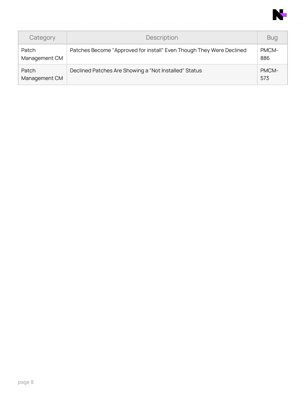

| Category               | Description                                                          | <b>Bug</b>   |
|------------------------|----------------------------------------------------------------------|--------------|
| Patch<br>Management CM | Patches Become "Approved for install" Even Though They Were Declined | PMCM-<br>886 |
| Patch<br>Management CM | Declined Patches Are Showing a "Not Installed" Status                | PMCM-<br>573 |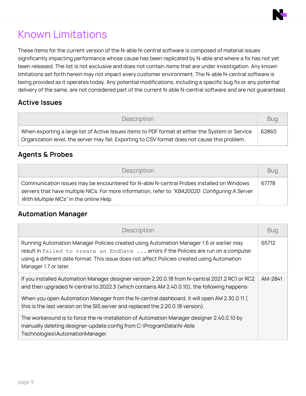

# Known Limitations

These items for the current version of the N-able N-central software is composed of material issues significantly impacting performance whose cause has been replicated by N-able and where a fix has not yet been released. The list is not exclusive and does not contain items that are under investigation. Any known limitations set forth herein may not impact every customer environment. The N-able N-central software is being provided as it operates today. Any potential modifications, including a specific bug fix or any potential delivery of the same, are not considered part of the current N-able N-central software and are not guaranteed.

### **Active Issues**

| Description                                                                                                                                                                                       | <b>Bug</b> |
|---------------------------------------------------------------------------------------------------------------------------------------------------------------------------------------------------|------------|
| When exporting a large list of Active Issues items to PDF format at either the System or Service<br>Organization level, the server may fail. Exporting to CSV format does not cause this problem. | 62860      |

## **Agents & Probes**

| <b>Description</b>                                                                                                                                                                                                                     | <b>Bug</b> |
|----------------------------------------------------------------------------------------------------------------------------------------------------------------------------------------------------------------------------------------|------------|
| Communication issues may be encountered for N-able N-central Probes installed on Windows<br>servers that have multiple NICs. For more information, refer to "KBA20020: Configuring A Server<br>With Multiple NICs" in the online Help. | 67778      |

### **Automation Manager**

| Description                                                                                                                                                                                                                                                                                            | <b>Bug</b> |
|--------------------------------------------------------------------------------------------------------------------------------------------------------------------------------------------------------------------------------------------------------------------------------------------------------|------------|
| Running Automation Manager Policies created using Automation Manager 1.6 or earlier may<br>result in Failed to create an EndDate  errors if the Policies are run on a computer<br>using a different date format. This issue does not affect Policies created using Automation<br>Manager 1.7 or later. | 65712      |
| If you installed Automation Manager designer version 2.20.0.18 from N-central 2021.2 RC1 or RC2<br>and then upgraded N-central to 2022.3 (which contains AM 2.40.0.10), the following happens:                                                                                                         | AM-2841    |
| When you open Automation Manager from the N-central dashboard, it will open AM 2.30.0.11 (<br>this is the last version on the SIS server and replaced the 2.20.0.18 version).                                                                                                                          |            |
| The workaround is to force the re-installation of Automation Manager designer 2.40.0.10 by<br>manually deleting designer-update.config from C:\ProgramData\N-Able<br>Technologies\AutomationManager.                                                                                                   |            |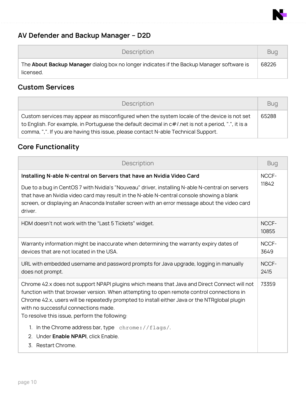

# **AV Defender and Backup Manager – D2D**

| Description                                                                                            | <b>Bug</b> |
|--------------------------------------------------------------------------------------------------------|------------|
| The About Backup Manager dialog box no longer indicates if the Backup Manager software is<br>licensed. | 68226      |

# **Custom Services**

| Description                                                                                                                                                                                                                                                                                 | <b>Bug</b> |
|---------------------------------------------------------------------------------------------------------------------------------------------------------------------------------------------------------------------------------------------------------------------------------------------|------------|
| Custom services may appear as misconfigured when the system locale of the device is not set<br>to English. For example, in Portuguese the default decimal in $c\#l$ net is not a period, ".", it is a<br>comma, ",". If you are having this issue, please contact N-able Technical Support. | 65288      |

# **Core Functionality**

| Description                                                                                                                                                                                                                                                                                                                                                                                                                                                                                                        | <b>Bug</b>     |  |
|--------------------------------------------------------------------------------------------------------------------------------------------------------------------------------------------------------------------------------------------------------------------------------------------------------------------------------------------------------------------------------------------------------------------------------------------------------------------------------------------------------------------|----------------|--|
| Installing N-able N-central on Servers that have an Nvidia Video Card                                                                                                                                                                                                                                                                                                                                                                                                                                              |                |  |
| Due to a bug in CentOS 7 with Nvidia's "Nouveau" driver, installing N-able N-central on servers<br>that have an Nvidia video card may result in the N-able N-central console showing a blank<br>screen, or displaying an Anaconda Installer screen with an error message about the video card<br>driver.                                                                                                                                                                                                           | 11842          |  |
| HDM doesn't not work with the "Last 5 Tickets" widget.                                                                                                                                                                                                                                                                                                                                                                                                                                                             | NCCF-<br>10855 |  |
| Warranty information might be inaccurate when determining the warranty expiry dates of<br>devices that are not located in the USA.                                                                                                                                                                                                                                                                                                                                                                                 | NCCF-<br>3649  |  |
| URL with embedded username and password prompts for Java upgrade, logging in manually<br>does not prompt.                                                                                                                                                                                                                                                                                                                                                                                                          | NCCF-<br>2415  |  |
| Chrome 42.x does not support NPAPI plugins which means that Java and Direct Connect will not<br>function with that browser version. When attempting to open remote control connections in<br>Chrome 42.x, users will be repeatedly prompted to install either Java or the NTRglobal plugin<br>with no successful connections made.<br>To resolve this issue, perform the following:<br>In the Chrome address bar, type $chrome://flags/.$<br>$1_{1}$<br>2. Under Enable NPAPI, click Enable.<br>3. Restart Chrome. | 73359          |  |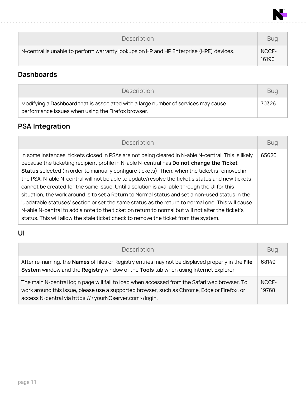

| Description                                                                            | <b>Bug</b>     |
|----------------------------------------------------------------------------------------|----------------|
| N-central is unable to perform warranty lookups on HP and HP Enterprise (HPE) devices. | NCCF-<br>16190 |

# **Dashboards**

| <b>Description</b>                                                                                                                       | <b>Bug</b> |
|------------------------------------------------------------------------------------------------------------------------------------------|------------|
| Modifying a Dashboard that is associated with a large number of services may cause<br>performance issues when using the Firefox browser. | 70326      |

# **PSA Integration**

| Description                                                                                                                                                                                                                                                                                                                                                                                                                                                                                                                                                                                                                                                                                                                                                                                                                                                                                            | <b>Bug</b> |
|--------------------------------------------------------------------------------------------------------------------------------------------------------------------------------------------------------------------------------------------------------------------------------------------------------------------------------------------------------------------------------------------------------------------------------------------------------------------------------------------------------------------------------------------------------------------------------------------------------------------------------------------------------------------------------------------------------------------------------------------------------------------------------------------------------------------------------------------------------------------------------------------------------|------------|
| In some instances, tickets closed in PSAs are not being cleared in N-able N-central. This is likely<br>because the ticketing recipient profile in N-able N-central has Do not change the Ticket<br>Status selected (in order to manually configure tickets). Then, when the ticket is removed in<br>the PSA, N-able N-central will not be able to update/resolve the ticket's status and new tickets<br>cannot be created for the same issue. Until a solution is available through the UI for this<br>situation, the work around is to set a Return to Normal status and set a non-used status in the<br>'updatable statuses' section or set the same status as the return to normal one. This will cause<br>N-able N-central to add a note to the ticket on return to normal but will not alter the ticket's<br>status. This will allow the stale ticket check to remove the ticket from the system. | 65620      |

# **UI**

| Description                                                                                                                                                                                                                                                                | <b>Bug</b>     |
|----------------------------------------------------------------------------------------------------------------------------------------------------------------------------------------------------------------------------------------------------------------------------|----------------|
| After re-naming, the <b>Names</b> of files or Registry entries may not be displayed properly in the File<br>System window and the Registry window of the Tools tab when using Internet Explorer.                                                                           | 68149          |
| The main N-central login page will fail to load when accessed from the Safari web browser. To<br>work around this issue, please use a supported browser, such as Chrome, Edge or Firefox, or<br>access N-central via https:// <yourncserver.com>/login.</yourncserver.com> | NCCF-<br>19768 |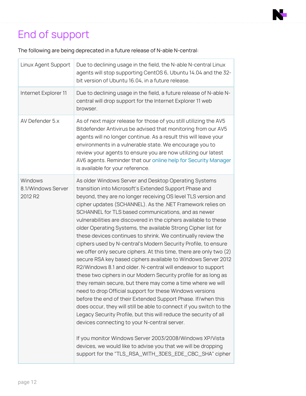# End of support

The following are being deprecated in a future release of N-able N-central:

| Linux Agent Support                      | Due to declining usage in the field, the N-able N-central Linux<br>agents will stop supporting CentOS 6, Ubuntu 14.04 and the 32-<br>bit version of Ubuntu 16.04, in a future release.                                                                                                                                                                                                                                                                                                                                                                                                                                                                                                                                                                                                                                                                                                                                                                                                                                                                                                                                                                                                                                                                                                                                                                                                                                               |
|------------------------------------------|--------------------------------------------------------------------------------------------------------------------------------------------------------------------------------------------------------------------------------------------------------------------------------------------------------------------------------------------------------------------------------------------------------------------------------------------------------------------------------------------------------------------------------------------------------------------------------------------------------------------------------------------------------------------------------------------------------------------------------------------------------------------------------------------------------------------------------------------------------------------------------------------------------------------------------------------------------------------------------------------------------------------------------------------------------------------------------------------------------------------------------------------------------------------------------------------------------------------------------------------------------------------------------------------------------------------------------------------------------------------------------------------------------------------------------------|
| Internet Explorer 11                     | Due to declining usage in the field, a future release of N-able N-<br>central will drop support for the Internet Explorer 11 web<br>browser.                                                                                                                                                                                                                                                                                                                                                                                                                                                                                                                                                                                                                                                                                                                                                                                                                                                                                                                                                                                                                                                                                                                                                                                                                                                                                         |
| AV Defender 5.x                          | As of next major release for those of you still utilizing the AV5<br>Bitdefender Antivirus be advised that monitoring from our AV5<br>agents will no longer continue. As a result this will leave your<br>environments in a vulnerable state. We encourage you to<br>review your agents to ensure you are now utilizing our latest<br>AV6 agents. Reminder that our online help for Security Manager<br>is available for your reference.                                                                                                                                                                                                                                                                                                                                                                                                                                                                                                                                                                                                                                                                                                                                                                                                                                                                                                                                                                                             |
| Windows<br>8.1/Windows Server<br>2012 R2 | As older Windows Server and Desktop Operating Systems<br>transition into Microsoft's Extended Support Phase and<br>beyond, they are no longer receiving OS level TLS version and<br>cipher updates (SCHANNEL). As the .NET Framework relies on<br>SCHANNEL for TLS based communications, and as newer<br>vulnerabilities are discovered in the ciphers available to these<br>older Operating Systems, the available Strong Cipher list for<br>these devices continues to shrink. We continually review the<br>ciphers used by N-central's Modern Security Profile, to ensure<br>we offer only secure ciphers. At this time, there are only two (2)<br>secure RSA key based ciphers available to Windows Server 2012<br>R2/Windows 8.1 and older. N-central will endeavor to support<br>these two ciphers in our Modern Security profile for as long as<br>they remain secure, but there may come a time where we will<br>need to drop Official support for these Windows versions<br>before the end of their Extended Support Phase. If/when this<br>does occur, they will still be able to connect if you switch to the<br>Legacy Security Profile, but this will reduce the security of all<br>devices connecting to your N-central server.<br>If you monitor Windows Server 2003/2008/Windows XP/Vista<br>devices, we would like to advise you that we will be dropping<br>support for the "TLS_RSA_WITH_3DES_EDE_CBC_SHA" cipher |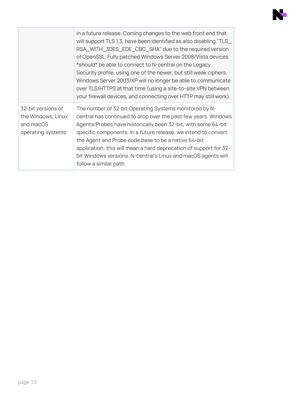|                                                                            | in a future release. Coming changes to the web front end that<br>will support TLS 1.3, have been identified as also disabling "TLS_<br>RSA_WITH_3DES_EDE_CBC_SHA" due to the required version<br>of OpenSSL. Fully patched Windows Server 2008/Vista devices<br>*should* be able to connect to N-central on the Legacy<br>Security profile, using one of the newer, but still weak ciphers.<br>Windows Server 2003/XP will no longer be able to communicate<br>over TLS/HTTPS at that time (using a site-to-site VPN between<br>your firewall devices, and connecting over HTTP may still work). |
|----------------------------------------------------------------------------|--------------------------------------------------------------------------------------------------------------------------------------------------------------------------------------------------------------------------------------------------------------------------------------------------------------------------------------------------------------------------------------------------------------------------------------------------------------------------------------------------------------------------------------------------------------------------------------------------|
| 32-bit versions of<br>the Windows, Linux<br>and macOS<br>operating systems | The number of 32-bit Operating Systems monitored by N-<br>central has continued to drop over the past few years. Windows<br>Agents/Probes have historically been 32-bit, with some 64-bit<br>specific components. In a future release, we intend to convert<br>the Agent and Probe code base to be a native 64-bit<br>application; this will mean a hard deprecation of support for 32-<br>bit Windows versions. N-central's Linux and macOS agents will<br>follow a similar path.                                                                                                               |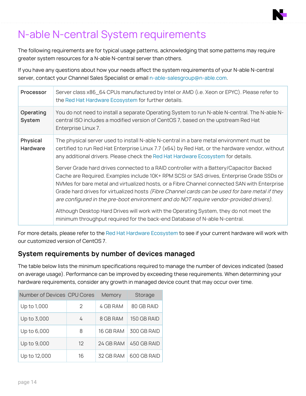# N-able N-central System requirements

The following requirements are for typical usage patterns, acknowledging that some patterns may require greater system resources for a N-able N-central server than others.

If you have any questions about how your needs affect the system requirements of your N-able N-central server, contact your Channel Sales Specialist or email [n-able-salesgroup@n-able.com.](mailto:n-able-salesgroup@n-able.com)

| Processor                          | Server class x86_64 CPUs manufactured by Intel or AMD (i.e. Xeon or EPYC). Please refer to<br>the Red Hat Hardware Ecosystem for further details.                                                                                                                                                                                                                                                                                                                                                                                                                                                                                                           |
|------------------------------------|-------------------------------------------------------------------------------------------------------------------------------------------------------------------------------------------------------------------------------------------------------------------------------------------------------------------------------------------------------------------------------------------------------------------------------------------------------------------------------------------------------------------------------------------------------------------------------------------------------------------------------------------------------------|
| Operating<br>System                | You do not need to install a separate Operating System to run N-able N-central. The N-able N-<br>central ISO includes a modified version of CentOS 7, based on the upstream Red Hat<br>Enterprise Linux 7.                                                                                                                                                                                                                                                                                                                                                                                                                                                  |
| <b>Physical</b><br><b>Hardware</b> | The physical server used to install N-able N-central in a bare metal environment must be<br>certified to run Red Hat Enterprise Linux 7.7 (x64) by Red Hat, or the hardware vendor, without<br>any additional drivers. Please check the Red Hat Hardware Ecosystem for details.                                                                                                                                                                                                                                                                                                                                                                             |
|                                    | Server Grade hard drives connected to a RAID controller with a Battery/Capacitor Backed<br>Cache are Required. Examples include 10K+ RPM SCSI or SAS drives, Enterprise Grade SSDs or<br>NVMes for bare metal and virtualized hosts, or a Fibre Channel connected SAN with Enterprise<br>Grade hard drives for virtualized hosts (Fibre Channel cards can be used for bare metal if they<br>are configured in the pre-boot environment and do NOT require vendor-provided drivers).<br>Although Desktop Hard Drives will work with the Operating System, they do not meet the<br>minimum throughput required for the back-end Database of N-able N-central. |

For more details, please refer to the Red Hat Hardware [Ecosystem](https://access.redhat.com/ecosystem/search/#/category/Server?certifications=Red%20Hat%20Enterprise%20Linux%207&architectures=x86_64&ecosystem=Red%20Hat%20Enterprise%20Linux) to see if your current hardware will work with our customized version of CentOS 7.

### **System requirements by number of devices managed**

The table below lists the minimum specifications required to manage the number of devices indicated (based on average usage). Performance can be improved by exceeding these requirements. When determining your hardware requirements, consider any growth in managed device count that may occur over time.

| Number of Devices CPU Cores |               | Memory    | Storage     |
|-----------------------------|---------------|-----------|-------------|
| Up to 1,000                 | $\mathcal{P}$ | 4 GB RAM  | 80 GB RAID  |
| Up to 3,000                 | 4             | 8 GB RAM  | 150 GB RAID |
| Up to 6,000                 | 8             | 16 GB RAM | 300 GB RAID |
| Up to 9,000                 | 12            | 24 GB RAM | 450 GB RAID |
| Up to 12,000                | 16            | 32 GB RAM | 600 GB RAID |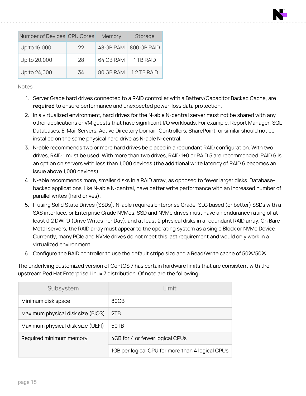| Number of Devices CPU Cores |     | Memory    | Storage     |
|-----------------------------|-----|-----------|-------------|
| Up to 16,000                | 22  | 48 GB RAM | 800 GB RAID |
| Up to 20,000                | 28  | 64 GB RAM | 1 TB RAID   |
| Up to 24,000                | .34 | 80 GB RAM | 1 2 TR RAID |

**Notes** 

- 1. Server Grade hard drives connected to a RAID controller with a Battery/Capacitor Backed Cache, are **required** to ensure performance and unexpected power-loss data protection.
- 2. In a virtualized environment, hard drives for the N-able N-central server must not be shared with any other applications or VM guests that have significant I/O workloads. For example, Report Manager, SQL Databases, E-Mail Servers, Active Directory Domain Controllers, SharePoint, or similar should not be installed on the same physical hard drive as N-able N-central.
- 3. N-able recommends two or more hard drives be placed in a redundant RAID configuration. With two drives, RAID 1 must be used. With more than two drives, RAID 1+0 or RAID 5 are recommended. RAID 6 is an option on servers with less than 1,000 devices (the additional write latency of RAID 6 becomes an issue above 1,000 devices).
- 4. N-able recommends more, smaller disks in a RAID array, as opposed to fewer larger disks. Databasebacked applications, like N-able N-central, have better write performance with an increased number of parallel writes (hard drives).
- 5. If using Solid State Drives (SSDs), N-able requires Enterprise Grade, SLC based (or better) SSDs with a SAS interface, or Enterprise Grade NVMes. SSD and NVMe drives must have an endurance rating of at least 0.2 DWPD (Drive Writes Per Day), and at least 2 physical disks in a redundant RAID array. On Bare Metal servers, the RAID array must appear to the operating system as a single Block or NVMe Device. Currently, many PCIe and NVMe drives do not meet this last requirement and would only work in a virtualized environment.
- 6. Configure the RAID controller to use the default stripe size and a Read/Write cache of 50%/50%.

The underlying customized version of CentOS 7 has certain hardware limits that are consistent with the upstream Red Hat Enterprise Linux 7 distribution. Of note are the following:

| Subsystem                                                  | l imit                                           |
|------------------------------------------------------------|--------------------------------------------------|
| Minimum disk space                                         | 80GB                                             |
| Maximum physical disk size (BIOS)                          | 2TB                                              |
| Maximum physical disk size (UEFI)                          | 50TB                                             |
| 4GB for 4 or fewer logical CPUs<br>Required minimum memory |                                                  |
|                                                            | 1GB per logical CPU for more than 4 logical CPUs |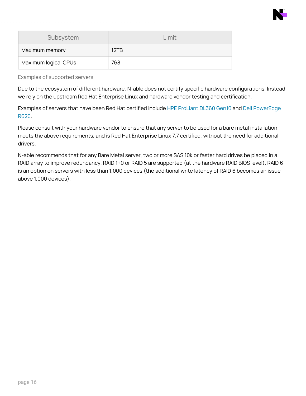

| Subsystem            | 1 imit |
|----------------------|--------|
| Maximum memory       | 12TB   |
| Maximum logical CPUs | 768    |

Examples of supported servers

Due to the ecosystem of different hardware, N-able does not certify specific hardware configurations. Instead we rely on the upstream Red Hat Enterprise Linux and hardware vendor testing and certification.

Examples of servers that have been Red Hat certified include HPE [ProLiant](https://access.redhat.com/ecosystem/hardware/3108061) DL360 Gen10 and Dell [PowerEdge](https://access.redhat.com/ecosystem/hardware/948323) [R620.](https://access.redhat.com/ecosystem/hardware/948323)

Please consult with your hardware vendor to ensure that any server to be used for a bare metal installation meets the above requirements, and is Red Hat Enterprise Linux 7.7 certified, without the need for additional drivers.

N-able recommends that for any Bare Metal server, two or more SAS 10k or faster hard drives be placed in a RAID array to improve redundancy. RAID 1+0 or RAID 5 are supported (at the hardware RAID BIOS level). RAID 6 is an option on servers with less than 1,000 devices (the additional write latency of RAID 6 becomes an issue above 1,000 devices).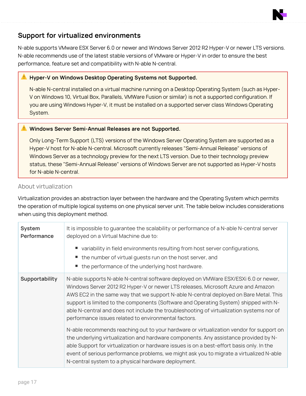# **Support for virtualized environments**

N-able supports VMware ESX Server 6.0 or newer and Windows Server 2012 R2 Hyper-V or newer LTS versions. N-able recommends use of the latest stable versions of VMware or Hyper-V in order to ensure the best performance, feature set and compatibility with N-able N-central.

#### **Hyper-V on Windows Desktop Operating Systems not Supported.**

N-able N-central installed on a virtual machine running on a Desktop Operating System (such as Hyper-V on Windows 10, Virtual Box, Parallels, VMWare Fusion or similar) is not a supported configuration. If you are using Windows Hyper-V, it must be installed on a supported server class Windows Operating System.

#### **Windows Server Semi-Annual Releases are not Supported.**

Only Long-Term Support (LTS) versions of the Windows Server Operating System are supported as a Hyper-V host for N-able N-central. Microsoft currently releases "Semi-Annual Release" versions of Windows Server as a technology preview for the next LTS version. Due to their technology preview status, these "Semi-Annual Release" versions of Windows Server are not supported as Hyper-V hosts for N-able N-central.

#### About virtualization

Virtualization provides an abstraction layer between the hardware and the Operating System which permits the operation of multiple logical systems on one physical server unit. The table below includes considerations when using this deployment method.

| System<br>Performance | It is impossible to guarantee the scalability or performance of a N-able N-central server<br>deployed on a Virtual Machine due to:<br>■ variability in field environments resulting from host server configurations,<br>• the number of virtual guests run on the host server, and<br>■ the performance of the underlying host hardware.                                                                                                                                                                     |
|-----------------------|--------------------------------------------------------------------------------------------------------------------------------------------------------------------------------------------------------------------------------------------------------------------------------------------------------------------------------------------------------------------------------------------------------------------------------------------------------------------------------------------------------------|
| Supportability        | N-able supports N-able N-central software deployed on VMWare ESX/ESXi 6.0 or newer,<br>Windows Server 2012 R2 Hyper-V or newer LTS releases, Microsoft Azure and Amazon<br>AWS EC2 in the same way that we support N-able N-central deployed on Bare Metal. This<br>support is limited to the components (Software and Operating System) shipped with N-<br>able N-central and does not include the troubleshooting of virtualization systems nor of<br>performance issues related to environmental factors. |
|                       | N-able recommends reaching out to your hardware or virtualization vendor for support on<br>the underlying virtualization and hardware components. Any assistance provided by N-<br>able Support for virtualization or hardware issues is on a best-effort basis only. In the<br>event of serious performance problems, we might ask you to migrate a virtualized N-able<br>N-central system to a physical hardware deployment.                                                                               |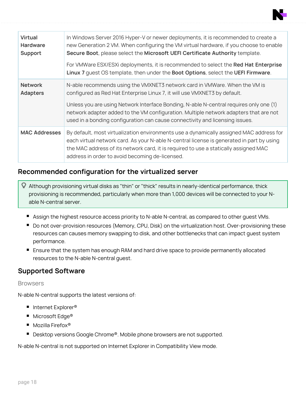

| <b>Virtual</b><br><b>Hardware</b><br>Support | In Windows Server 2016 Hyper-V or newer deployments, it is recommended to create a<br>new Generation 2 VM. When configuring the VM virtual hardware, if you choose to enable<br>Secure Boot, please select the Microsoft UEFI Certificate Authority template.<br>For VMWare ESX/ESXi deployments, it is recommended to select the Red Hat Enterprise<br>Linux 7 quest OS template, then under the Boot Options, select the UEFI Firmware. |
|----------------------------------------------|-------------------------------------------------------------------------------------------------------------------------------------------------------------------------------------------------------------------------------------------------------------------------------------------------------------------------------------------------------------------------------------------------------------------------------------------|
| <b>Network</b><br><b>Adapters</b>            | N-able recommends using the VMXNET3 network card in VMWare. When the VM is<br>configured as Red Hat Enterprise Linux 7, it will use VMXNET3 by default.<br>Unless you are using Network Interface Bonding, N-able N-central requires only one (1)<br>network adapter added to the VM configuration. Multiple network adapters that are not<br>used in a bonding configuration can cause connectivity and licensing issues.                |
| <b>MAC Addresses</b>                         | By default, most virtualization environments use a dynamically assigned MAC address for<br>each virtual network card. As your N-able N-central license is generated in part by using<br>the MAC address of its network card, it is required to use a statically assigned MAC<br>address in order to avoid becoming de-licensed.                                                                                                           |

### **Recommended configuration for the virtualized server**

- Although provisioning virtual disks as "thin" or "thick" results in nearly-identical performance, thick provisioning is recommended, particularly when more than 1,000 devices will be connected to your Nable N-central server.
	- **Assign the highest resource access priority to N-able N-central, as compared to other guest VMs.**
	- Do not over-provision resources (Memory, CPU, Disk) on the virtualization host. Over-provisioning these resources can causes memory swapping to disk, and other bottlenecks that can impact guest system performance.
	- **E** Ensure that the system has enough RAM and hard drive space to provide permanently allocated resources to the N-able N-central guest.

### **Supported Software**

#### **Browsers**

N-able N-central supports the latest versions of:

- Internet Explorer<sup>®</sup>
- Microsoft Edge<sup>®</sup>
- Mozilla Firefox<sup>®</sup>
- Desktop versions Google Chrome®. Mobile phone browsers are not supported.

N-able N-central is not supported on Internet Explorer in Compatibility View mode.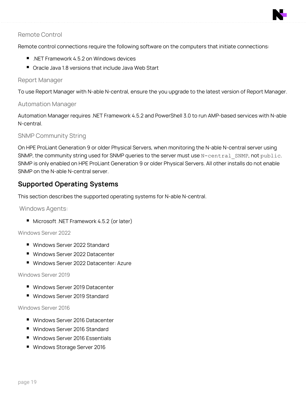

#### Remote Control

Remote control connections require the following software on the computers that initiate connections:

- .NET Framework 4.5.2 on Windows devices
- $\blacksquare$  Oracle Java 1.8 versions that include Java Web Start

#### Report Manager

To use Report Manager with N-able N-central, ensure the you upgrade to the latest version of Report Manager.

#### Automation Manager

Automation Manager requires .NET Framework 4.5.2 and PowerShell 3.0 to run AMP-based services with N-able N-central.

#### SNMP Community String

On HPE ProLiant Generation 9 or older Physical Servers, when monitoring the N-able N-central server using SNMP, the community string used for SNMP queries to the server must use N-central SNMP, not public. SNMP is only enabled on HPE ProLiant Generation 9 or older Physical Servers. All other installs do not enable SNMP on the N-able N-central server.

### **Supported Operating Systems**

This section describes the supported operating systems for N-able N-central.

Windows Agents:

■ Microsoft .NET Framework 4.5.2 (or later)

#### Windows Server 2022

- Windows Server 2022 Standard
- Windows Server 2022 Datacenter
- Windows Server 2022 Datacenter: Azure

#### Windows Server 2019

- Windows Server 2019 Datacenter
- Windows Server 2019 Standard

#### Windows Server 2016

- Windows Server 2016 Datacenter
- Windows Server 2016 Standard
- Windows Server 2016 Essentials
- Windows Storage Server 2016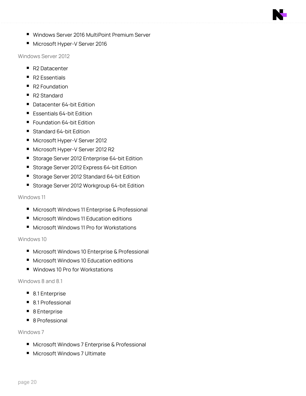- Windows Server 2016 MultiPoint Premium Server
- Microsoft Hyper-V Server 2016

Windows Server 2012

- R2 Datacenter
- $\blacksquare$  R2 Essentials
- R2 Foundation
- R2 Standard
- Datacenter 64-bit Edition
- $\blacksquare$  Essentials 64-bit Edition
- Foundation 64-bit Edition
- Standard 64-bit Edition
- Microsoft Hyper-V Server 2012
- Microsoft Hyper-V Server 2012 R2
- **Storage Server 2012 Enterprise 64-bit Edition**
- Storage Server 2012 Express 64-bit Edition
- Storage Server 2012 Standard 64-bit Edition
- Storage Server 2012 Workgroup 64-bit Edition

#### Windows 11

- Microsoft Windows 11 Enterprise & Professional
- Microsoft Windows 11 Education editions
- Microsoft Windows 11 Pro for Workstations

#### Windows 10

- Microsoft Windows 10 Enterprise & Professional
- Microsoft Windows 10 Education editions
- Windows 10 Pro for Workstations

#### Windows 8 and 8.1

- 8.1 Enterprise
- 8.1 Professional
- 8 Enterprise
- 8 Professional

#### Windows 7

- Microsoft Windows 7 Enterprise & Professional
- Microsoft Windows 7 Ultimate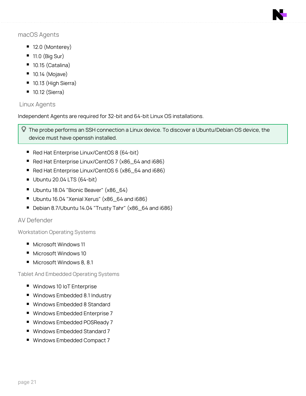

#### macOS Agents

- $\blacksquare$  12.0 (Monterey)
- $\blacksquare$  11.0 (Big Sur)
- $\blacksquare$  10.15 (Catalina)
- $\blacksquare$  10.14 (Mojave)
- 10.13 (High Sierra)
- $\blacksquare$  10.12 (Sierra)

#### Linux Agents

Independent Agents are required for 32-bit and 64-bit Linux OS installations.

**Q** The probe performs an SSH connection a Linux device. To discover a Ubuntu/Debian OS device, the device must have openssh installed.

- Red Hat Enterprise Linux/CentOS 8 (64-bit)
- Red Hat Enterprise Linux/CentOS 7 (x86\_64 and i686)
- Red Hat Enterprise Linux/CentOS 6 (x86\_64 and i686)
- $\blacksquare$  Ubuntu 20.04 LTS (64-bit)
- Ubuntu 18.04 "Bionic Beaver" (x86\_64)
- Ubuntu 16.04 "Xenial Xerus" (x86\_64 and i686)
- Debian 8.7/Ubuntu 14.04 "Trusty Tahr" (x86\_64 and i686)

#### AV Defender

Workstation Operating Systems

- Microsoft Windows 11
- Microsoft Windows 10
- Microsoft Windows 8, 8.1

Tablet And Embedded Operating Systems

- Windows 10 IoT Enterprise
- Windows Embedded 8.1 Industry
- Windows Embedded 8 Standard
- Windows Embedded Enterprise 7
- Windows Embedded POSReady 7
- Windows Embedded Standard 7
- Windows Embedded Compact 7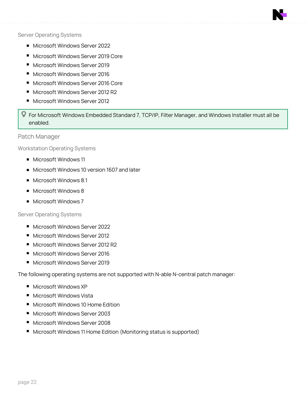

#### Server Operating Systems

- Microsoft Windows Server 2022
- Microsoft Windows Server 2019 Core
- Microsoft Windows Server 2019
- Microsoft Windows Server 2016
- Microsoft Windows Server 2016 Core
- Microsoft Windows Server 2012 R2
- Microsoft Windows Server 2012

**Q** For Microsoft Windows Embedded Standard 7, TCP/IP, Filter Manager, and Windows Installer must all be enabled.

Patch Manager

Workstation Operating Systems

- Microsoft Windows 11
- Microsoft Windows 10 version 1607 and later
- $\blacksquare$  Microsoft Windows 8.1
- Microsoft Windows 8
- Microsoft Windows 7

#### Server Operating Systems

- Microsoft Windows Server 2022
- Microsoft Windows Server 2012
- Microsoft Windows Server 2012 R2
- Microsoft Windows Server 2016
- Microsoft Windows Server 2019

The following operating systems are not supported with N-able N-central patch manager:

- Microsoft Windows XP
- Microsoft Windows Vista
- Microsoft Windows 10 Home Edition
- Microsoft Windows Server 2003
- Microsoft Windows Server 2008
- Microsoft Windows 11 Home Edition (Monitoring status is supported)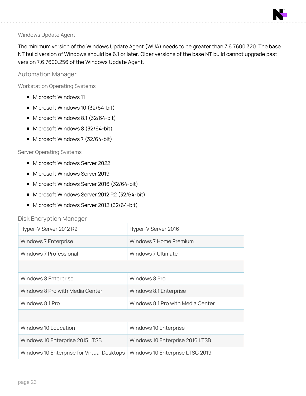#### Windows Update Agent

The minimum version of the Windows Update Agent (WUA) needs to be greater than 7.6.7600.320. The base NT build version of Windows should be 6.1 or later. Older versions of the base NT build cannot upgrade past version 7.6.7600.256 of the Windows Update Agent.

#### Automation Manager

Workstation Operating Systems

- Microsoft Windows 11
- Microsoft Windows 10 (32/64-bit)
- Microsoft Windows 8.1 (32/64-bit)
- Microsoft Windows 8 (32/64-bit)
- Microsoft Windows 7 (32/64-bit)

#### Server Operating Systems

- Microsoft Windows Server 2022
- Microsoft Windows Server 2019
- Microsoft Windows Server 2016 (32/64-bit)
- Microsoft Windows Server 2012 R2 (32/64-bit)
- Microsoft Windows Server 2012 (32/64-bit)

#### Disk Encryption Manager

| Hyper-V Server 2012 R2                     | Hyper-V Server 2016               |
|--------------------------------------------|-----------------------------------|
| Windows 7 Enterprise                       | Windows 7 Home Premium            |
| Windows 7 Professional                     | Windows 7 Ultimate                |
|                                            |                                   |
| Windows 8 Enterprise                       | Windows 8 Pro                     |
| Windows 8 Pro with Media Center            | Windows 8.1 Enterprise            |
| Windows 8.1 Pro                            | Windows 8.1 Pro with Media Center |
|                                            |                                   |
| Windows 10 Education                       | Windows 10 Enterprise             |
| Windows 10 Enterprise 2015 LTSB            | Windows 10 Enterprise 2016 LTSB   |
| Windows 10 Enterprise for Virtual Desktops | Windows 10 Enterprise LTSC 2019   |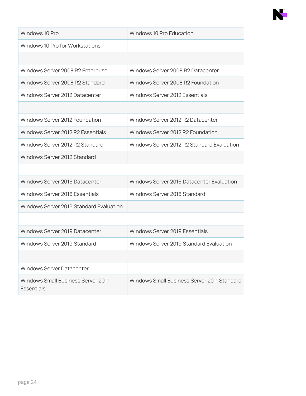

| Windows 10 Pro Education                    |
|---------------------------------------------|
|                                             |
|                                             |
| Windows Server 2008 R2 Datacenter           |
| Windows Server 2008 R2 Foundation           |
| Windows Server 2012 Essentials              |
|                                             |
| Windows Server 2012 R2 Datacenter           |
| Windows Server 2012 R2 Foundation           |
| Windows Server 2012 R2 Standard Evaluation  |
|                                             |
|                                             |
| Windows Server 2016 Datacenter Evaluation   |
| Windows Server 2016 Standard                |
|                                             |
|                                             |
| Windows Server 2019 Essentials              |
| Windows Server 2019 Standard Evaluation     |
|                                             |
|                                             |
| Windows Small Business Server 2011 Standard |
|                                             |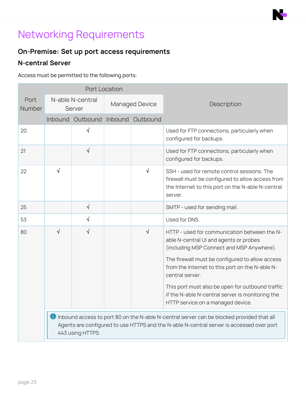# Networking Requirements

# **On-Premise: Set up port access requirements**

# **N-central Server**

Access must be permitted to the following ports:

|                |                                                                                                                                                                                                           | Port Location                     |  |                       |                                                                                                                                                                 |  |
|----------------|-----------------------------------------------------------------------------------------------------------------------------------------------------------------------------------------------------------|-----------------------------------|--|-----------------------|-----------------------------------------------------------------------------------------------------------------------------------------------------------------|--|
| Port<br>Number |                                                                                                                                                                                                           | N-able N-central<br>Server        |  | <b>Managed Device</b> | Description                                                                                                                                                     |  |
|                |                                                                                                                                                                                                           | Inbound Outbound Inbound Outbound |  |                       |                                                                                                                                                                 |  |
| 20             |                                                                                                                                                                                                           | √                                 |  |                       | Used for FTP connections, particularly when<br>configured for backups.                                                                                          |  |
| 21             |                                                                                                                                                                                                           | $\sqrt{}$                         |  |                       | Used for FTP connections, particularly when<br>configured for backups.                                                                                          |  |
| 22             | √                                                                                                                                                                                                         |                                   |  | $\sqrt{}$             | SSH - used for remote control sessions. The<br>firewall must be configured to allow access from<br>the Internet to this port on the N-able N-central<br>server. |  |
| 25             |                                                                                                                                                                                                           | $\sqrt{}$                         |  |                       | SMTP - used for sending mail.                                                                                                                                   |  |
| 53             |                                                                                                                                                                                                           | $\sqrt{}$                         |  |                       | Used for DNS.                                                                                                                                                   |  |
| 80             | $\sqrt{2}$                                                                                                                                                                                                | $\sqrt{}$                         |  | $\sqrt{}$             | HTTP - used for communication between the N-<br>able N-central UI and agents or probes<br>(including MSP Connect and MSP Anywhere).                             |  |
|                |                                                                                                                                                                                                           |                                   |  |                       | The firewall must be configured to allow access<br>from the Internet to this port on the N-able N-<br>central server.                                           |  |
|                |                                                                                                                                                                                                           |                                   |  |                       | This port must also be open for outbound traffic<br>if the N-able N-central server is monitoring the<br>HTTP service on a managed device.                       |  |
|                | Inbound access to port 80 on the N-able N-central server can be blocked provided that all<br>Agents are configured to use HTTPS and the N-able N-central server is accessed over port<br>443 using HTTPS. |                                   |  |                       |                                                                                                                                                                 |  |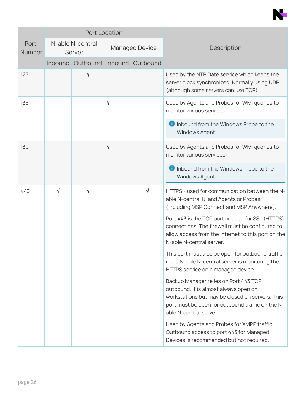

|                       |   | <b>Port Location</b>              |                       |   |                                                                                                                                                                                                                 |
|-----------------------|---|-----------------------------------|-----------------------|---|-----------------------------------------------------------------------------------------------------------------------------------------------------------------------------------------------------------------|
| Port<br><b>Number</b> |   | N-able N-central<br>Server        | <b>Managed Device</b> |   | Description                                                                                                                                                                                                     |
|                       |   | Inbound Outbound Inbound Outbound |                       |   |                                                                                                                                                                                                                 |
| 123                   |   | √                                 |                       |   | Used by the NTP Date service which keeps the<br>server clock synchronized. Normally using UDP<br>(although some servers can use TCP).                                                                           |
| 135                   |   |                                   | $\sqrt{}$             |   | Used by Agents and Probes for WMI queries to<br>monitor various services.                                                                                                                                       |
|                       |   |                                   |                       |   | <b>U</b> Inbound from the Windows Probe to the<br>Windows Agent.                                                                                                                                                |
| 139                   |   |                                   | $\sqrt{}$             |   | Used by Agents and Probes for WMI queries to<br>monitor various services.                                                                                                                                       |
|                       |   |                                   |                       |   | <b>O</b> Inbound from the Windows Probe to the<br>Windows Agent.                                                                                                                                                |
| 443                   | √ | √                                 |                       | √ | HTTPS - used for communication between the N-<br>able N-central UI and Agents or Probes<br>(including MSP Connect and MSP Anywhere).                                                                            |
|                       |   |                                   |                       |   | Port 443 is the TCP port needed for SSL (HTTPS)<br>connections. The firewall must be configured to<br>allow access from the Internet to this port on the<br>N-able N-central server.                            |
|                       |   |                                   |                       |   | This port must also be open for outbound traffic<br>if the N-able N-central server is monitoring the<br>HTTPS service on a managed device.                                                                      |
|                       |   |                                   |                       |   | Backup Manager relies on Port 443 TCP<br>outbound. It is almost always open on<br>workstations but may be closed on servers. This<br>port must be open for outbound traffic on the N-<br>able N-central server. |
|                       |   |                                   |                       |   | Used by Agents and Probes for XMPP traffic.<br>Outbound access to port 443 for Managed<br>Devices is recommended but not required.                                                                              |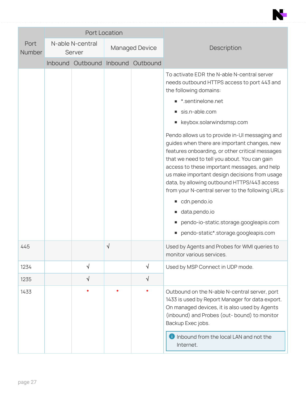|                |         |                            | Port Location |                       |                                                                                                                                                                                                                                                                                                                                                                                                                                                                                                                                                                                                                                                                                                                          |
|----------------|---------|----------------------------|---------------|-----------------------|--------------------------------------------------------------------------------------------------------------------------------------------------------------------------------------------------------------------------------------------------------------------------------------------------------------------------------------------------------------------------------------------------------------------------------------------------------------------------------------------------------------------------------------------------------------------------------------------------------------------------------------------------------------------------------------------------------------------------|
| Port<br>Number |         | N-able N-central<br>Server |               | <b>Managed Device</b> | Description                                                                                                                                                                                                                                                                                                                                                                                                                                                                                                                                                                                                                                                                                                              |
|                | Inbound | Outbound                   |               | Inbound Outbound      |                                                                                                                                                                                                                                                                                                                                                                                                                                                                                                                                                                                                                                                                                                                          |
|                |         |                            |               |                       | To activate EDR the N-able N-central server<br>needs outbound HTTPS access to port 443 and<br>the following domains:<br>■ *.sentinelone.net<br>sis.n-able.com<br>■ keybox.solarwindsmsp.com<br>Pendo allows us to provide in-Ul messaging and<br>guides when there are important changes, new<br>features onboarding, or other critical messages<br>that we need to tell you about. You can gain<br>access to these important messages, and help<br>us make important design decisions from usage<br>data, by allowing outbound HTTPS/443 access<br>from your N-central server to the following URLs:<br>cdn.pendo.io<br>data.pendo.io<br>pendo-io-static.storage.googleapis.com<br>pendo-static*.storage.googleapis.com |
| 445            |         |                            | √             |                       | Used by Agents and Probes for WMI queries to<br>monitor various services.                                                                                                                                                                                                                                                                                                                                                                                                                                                                                                                                                                                                                                                |
| 1234           |         | $\sqrt{}$                  |               | $\sqrt{}$             | Used by MSP Connect in UDP mode.                                                                                                                                                                                                                                                                                                                                                                                                                                                                                                                                                                                                                                                                                         |
| 1235           |         | $\sqrt{}$                  |               | $\sqrt{}$             |                                                                                                                                                                                                                                                                                                                                                                                                                                                                                                                                                                                                                                                                                                                          |
| 1433           |         | $\ast$                     |               | *                     | Outbound on the N-able N-central server, port<br>1433 is used by Report Manager for data export.<br>On managed devices, it is also used by Agents<br>(inbound) and Probes (out-bound) to monitor<br>Backup Exec jobs.<br><b>O</b> Inbound from the local LAN and not the<br>Internet.                                                                                                                                                                                                                                                                                                                                                                                                                                    |

N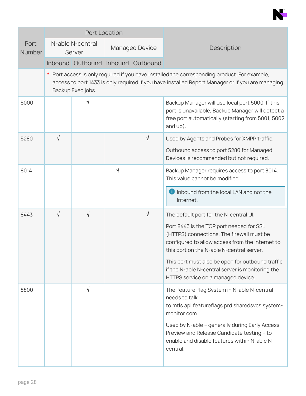|                |                                                                                                                                                                                                                     | Port Location                     |   |                       |                                                                                                                                                                                       |  |  |
|----------------|---------------------------------------------------------------------------------------------------------------------------------------------------------------------------------------------------------------------|-----------------------------------|---|-----------------------|---------------------------------------------------------------------------------------------------------------------------------------------------------------------------------------|--|--|
| Port<br>Number |                                                                                                                                                                                                                     | N-able N-central<br>Server        |   | <b>Managed Device</b> | Description                                                                                                                                                                           |  |  |
|                |                                                                                                                                                                                                                     | Inbound Outbound Inbound Outbound |   |                       |                                                                                                                                                                                       |  |  |
|                | Port access is only required if you have installed the corresponding product. For example,<br>access to port 1433 is only required if you have installed Report Manager or if you are managing<br>Backup Exec jobs. |                                   |   |                       |                                                                                                                                                                                       |  |  |
| 5000           |                                                                                                                                                                                                                     | √                                 |   |                       | Backup Manager will use local port 5000. If this<br>port is unavailable, Backup Manager will detect a<br>free port automatically (starting from 5001, 5002<br>and $up$ ).             |  |  |
| 5280           | $\sqrt{}$                                                                                                                                                                                                           |                                   |   | √                     | Used by Agents and Probes for XMPP traffic.<br>Outbound access to port 5280 for Managed<br>Devices is recommended but not required.                                                   |  |  |
| 8014           |                                                                                                                                                                                                                     |                                   | √ |                       | Backup Manager requires access to port 8014.<br>This value cannot be modified.                                                                                                        |  |  |
|                |                                                                                                                                                                                                                     |                                   |   |                       | <b>O</b> Inbound from the local LAN and not the<br>Internet.                                                                                                                          |  |  |
| 8443           | √                                                                                                                                                                                                                   | √                                 |   | $\sqrt{}$             | The default port for the N-central UI.                                                                                                                                                |  |  |
|                |                                                                                                                                                                                                                     |                                   |   |                       | Port 8443 is the TCP port needed for SSL<br>(HTTPS) connections. The firewall must be<br>configured to allow access from the Internet to<br>this port on the N-able N-central server. |  |  |
|                |                                                                                                                                                                                                                     |                                   |   |                       | This port must also be open for outbound traffic<br>if the N-able N-central server is monitoring the<br>HTTPS service on a managed device.                                            |  |  |
| 8800           |                                                                                                                                                                                                                     | $\sqrt{}$                         |   |                       | The Feature Flag System in N-able N-central<br>needs to talk<br>to mtls.api.featureflags.prd.sharedsvcs.system-<br>monitor.com.                                                       |  |  |
|                |                                                                                                                                                                                                                     |                                   |   |                       | Used by N-able - generally during Early Access<br>Preview and Release Candidate testing - to<br>enable and disable features within N-able N-<br>central.                              |  |  |

N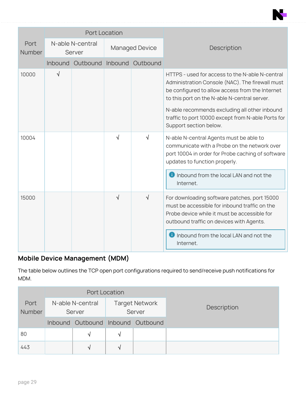|                       |                            |                                   | <b>Port Location</b>  |           |                                                                                                                                                                                                                                                                                                              |
|-----------------------|----------------------------|-----------------------------------|-----------------------|-----------|--------------------------------------------------------------------------------------------------------------------------------------------------------------------------------------------------------------------------------------------------------------------------------------------------------------|
| Port<br><b>Number</b> | N-able N-central<br>Server |                                   | <b>Managed Device</b> |           | Description                                                                                                                                                                                                                                                                                                  |
|                       |                            | Inbound Outbound Inbound Outbound |                       |           |                                                                                                                                                                                                                                                                                                              |
| 10000                 | √                          |                                   |                       |           | HTTPS - used for access to the N-able N-central<br>Administration Console (NAC). The firewall must<br>be configured to allow access from the Internet<br>to this port on the N-able N-central server.<br>N-able recommends excluding all other inbound<br>traffic to port 10000 except from N-able Ports for |
|                       |                            |                                   |                       |           | Support section below.                                                                                                                                                                                                                                                                                       |
| 10004                 |                            |                                   | √                     | $\sqrt{}$ | N-able N-central Agents must be able to<br>communicate with a Probe on the network over<br>port 10004 in order for Probe caching of software<br>updates to function properly.                                                                                                                                |
|                       |                            |                                   |                       |           | <b>D</b> Inbound from the local LAN and not the<br>Internet.                                                                                                                                                                                                                                                 |
| 15000                 |                            |                                   | √                     | $\sqrt{}$ | For downloading software patches, port 15000<br>must be accessible for inbound traffic on the<br>Probe device while it must be accessible for<br>outbound traffic on devices with Agents.                                                                                                                    |
|                       |                            |                                   |                       |           | Inbound from the local LAN and not the<br>Internet.                                                                                                                                                                                                                                                          |

# **Mobile Device Management (MDM)**

The table below outlines the TCP open port configurations required to send/receive push notifications for MDM.

|                       |                                   | Port Location |                                 |             |
|-----------------------|-----------------------------------|---------------|---------------------------------|-------------|
| Port<br><b>Number</b> | N-able N-central<br>Server        |               | <b>Target Network</b><br>Server | Description |
|                       | Inbound Outbound Inbound Outbound |               |                                 |             |
| 80                    | N.                                | N             |                                 |             |
| 443                   | V                                 | ٦I            |                                 |             |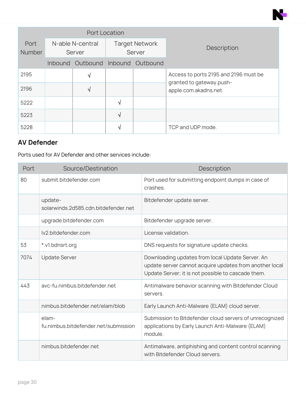|                       |                                   | <b>Port Location</b> |                                 |                                                                   |
|-----------------------|-----------------------------------|----------------------|---------------------------------|-------------------------------------------------------------------|
| Port<br><b>Number</b> | N-able N-central<br>Server        |                      | <b>Target Network</b><br>Server | Description                                                       |
|                       | Inbound Outbound Inbound Outbound |                      |                                 |                                                                   |
| 2195                  | V                                 |                      |                                 | Access to ports 2195 and 2196 must be<br>granted to gateway.push- |
| 2196                  | √                                 |                      |                                 | apple.com.akadns.net.                                             |
| 5222                  |                                   | √                    |                                 |                                                                   |
| 5223                  |                                   | N                    |                                 |                                                                   |
| 5228                  |                                   |                      |                                 | TCP and UDP mode.                                                 |

<u>F</u>

# **AV Defender**

Ports used for AV Defender and other services include:

| Port | Source/Destination                              | Description                                                                                                                                                       |
|------|-------------------------------------------------|-------------------------------------------------------------------------------------------------------------------------------------------------------------------|
| 80   | submit.bitdefender.com                          | Port used for submitting endpoint dumps in case of<br>crashes.                                                                                                    |
|      | update-<br>solarwinds.2d585.cdn.bitdefender.net | Bitdefender update server.                                                                                                                                        |
|      | upgrade.bitdefender.com                         | Bitdefender upgrade server.                                                                                                                                       |
|      | lv2.bitdefender.com                             | License validation.                                                                                                                                               |
| 53   | *.v1.bdnsrt.org                                 | DNS requests for signature update checks.                                                                                                                         |
| 7074 | <b>Update Server</b>                            | Downloading updates from local Update Server. An<br>update server cannot acquire updates from another local<br>Update Server; it is not possible to cascade them. |
| 443  | avc-fu.nimbus.bitdefender.net                   | Antimalware behavior scanning with Bitdefender Cloud<br>servers.                                                                                                  |
|      | nimbus.bitdefender.net/elam/blob                | Early Launch Anti-Malware (ELAM) cloud server.                                                                                                                    |
|      | elam-<br>fu.nimbus.bitdefender.net/submission   | Submission to Bitdefender cloud servers of unrecognized<br>applications by Early Launch Anti-Malware (ELAM)<br>module.                                            |
|      | nimbus.bitdefender.net                          | Antimalware, antiphishing and content control scanning<br>with Bitdefender Cloud servers.                                                                         |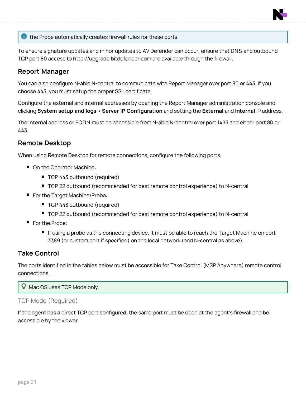

**The Probe automatically creates firewall rules for these ports.** 

To ensure signature updates and minor updates to AV Defender can occur, ensure that DNS and outbound TCP port 80 access to http://upgrade.bitdefender.com are available through the firewall.

#### **Report Manager**

You can also configure N-able N-central to communicate with Report Manager over port 80 or 443. If you choose 443, you must setup the proper SSL certificate.

Configure the external and internal addresses by opening the Report Manager administration console and clicking **System setup and logs** > **Server IP Configuration** and setting the **External** and **Internal** IP address.

The internal address or FQDN must be accessible from N-able N-central over port 1433 and either port 80 or 443.

#### **Remote Desktop**

When using Remote Desktop for remote connections, configure the following ports:

- On the Operator Machine:
	- TCP 443 outbound (required)
	- TCP 22 outbound (recommended for best remote control experience) to N-central
- For the Target Machine/Probe:
	- TCP 443 outbound (required)
	- TCP 22 outbound (recommended for best remote control experience) to N-central
- For the Probe:
	- If using a probe as the connecting device, it must be able to reach the Target Machine on port 3389 (or custom port if specified) on the local network (and N-central as above).

### **Take Control**

The ports identified in the tables below must be accessible for Take Control (MSP Anywhere) remote control connections.

Mac OS uses TCP Mode only.

#### TCP Mode (Required)

If the agent has a direct TCP port configured, the same port must be open at the agent's firewall and be accessible by the viewer.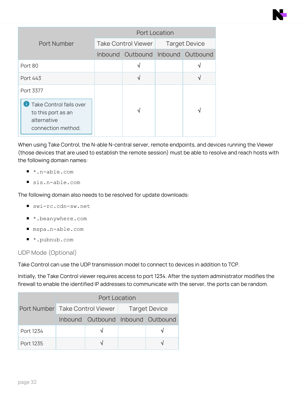|                                                                                           | Port Location |                                   |  |                      |  |  |
|-------------------------------------------------------------------------------------------|---------------|-----------------------------------|--|----------------------|--|--|
| <b>Port Number</b>                                                                        |               | Take Control Viewer               |  | <b>Target Device</b> |  |  |
|                                                                                           |               | Inbound Outbound Inbound Outbound |  |                      |  |  |
| Port 80                                                                                   |               | √                                 |  | ٦Ι                   |  |  |
| Port 443                                                                                  |               | V                                 |  | N                    |  |  |
| Port 3377                                                                                 |               |                                   |  |                      |  |  |
| <b>Take Control fails over</b><br>to this port as an<br>alternative<br>connection method. |               |                                   |  | ٦                    |  |  |

When using Take Control, the N-able N-central server, remote endpoints, and devices running the Viewer (those devices that are used to establish the remote session) must be able to resolve and reach hosts with the following domain names:

- $\blacksquare$  \*.n-able.com
- sis.n-able.com

The following domain also needs to be resolved for update downloads:

- swi-rc.cdn-sw.net
- \*.beanywhere.com
- <sup>n</sup> mspa.n-able.com
- \*.pubnub.com

#### UDP Mode (Optional)

Take Control can use the UDP transmission model to connect to devices in addition to TCP.

Initially, the Take Control viewer requires access to port 1234. After the system administrator modifies the firewall to enable the identified IP addresses to communicate with the server, the ports can be random.

|           | <b>Port Location</b>              |                                                 |  |
|-----------|-----------------------------------|-------------------------------------------------|--|
|           |                                   | Port Number Take Control Viewer   Target Device |  |
|           | Inbound Outbound Inbound Outbound |                                                 |  |
| Port 1234 |                                   |                                                 |  |
| Port 1235 |                                   |                                                 |  |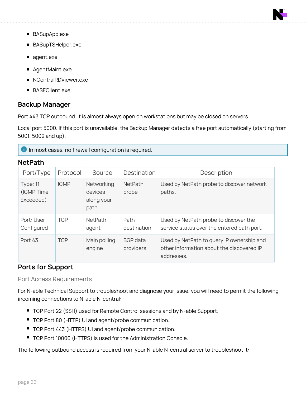

- BASupApp.exe
- BASupTSHelper.exe
- agent.exe
- AgentMaint.exe
- n NCentralRDViewer.exe
- **BASEClient.exe**

### **Backup Manager**

Port 443 TCP outbound. It is almost always open on workstations but may be closed on servers.

Local port 5000. If this port is unavailable, the Backup Manager detects a free port automatically (starting from 5001, 5002 and up).

**In most cases, no firewall configuration is required.** 

#### **NetPath**

| Port/Type                                  | Protocol    | Source                                      | Destination             | Description                                                                                          |
|--------------------------------------------|-------------|---------------------------------------------|-------------------------|------------------------------------------------------------------------------------------------------|
| <b>Type: 11</b><br>(ICMP Time<br>Exceeded) | <b>ICMP</b> | Networking<br>devices<br>along your<br>path | <b>NetPath</b><br>probe | Used by NetPath probe to discover network<br>paths.                                                  |
| Port: User<br>Configured                   | <b>TCP</b>  | <b>NetPath</b><br>agent                     | Path<br>destination     | Used by NetPath probe to discover the<br>service status over the entered path port.                  |
| Port 43                                    | <b>TCP</b>  | Main polling<br>engine                      | BGP data<br>providers   | Used by NetPath to query IP ownership and<br>other information about the discovered IP<br>addresses. |

### **Ports for Support**

#### Port Access Requirements

For N-able Technical Support to troubleshoot and diagnose your issue, you will need to permit the following incoming connections to N-able N-central:

- TCP Port 22 (SSH) used for Remote Control sessions and by N-able Support.
- TCP Port 80 (HTTP) UI and agent/probe communication.
- TCP Port 443 (HTTPS) UI and agent/probe communication.
- **TCP Port 10000 (HTTPS) is used for the Administration Console.**

The following outbound access is required from your N-able N-central server to troubleshoot it: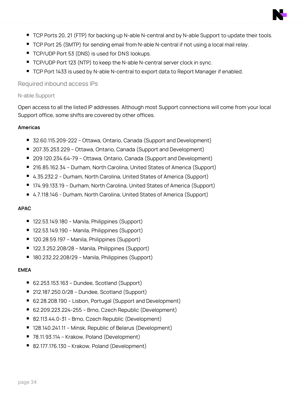- TCP Ports 20, 21 (FTP) for backing up N-able N-central and by N-able Support to update their tools.
- TCP Port 25 (SMTP) for sending email from N-able N-central if not using a local mail relay.
- **TCP/UDP Port 53 (DNS) is used for DNS lookups.**
- TCP/UDP Port 123 (NTP) to keep the N-able N-central server clock in sync.
- TCP Port 1433 is used by N-able N-central to export data to Report Manager if enabled.

### Required inbound access IPs

#### N-able Support

Open access to all the listed IP addresses. Although most Support connections will come from your local Support office, some shifts are covered by other offices.

#### **Americas**

- 32.60.115.209-222 Ottawa, Ontario, Canada (Support and Development)
- 207.35.253.229 Ottawa, Ontario, Canada (Support and Development)
- n 209.120.234.64-79 Ottawa, Ontario, Canada (Support and Development)
- 216.85.162.34 Durham, North Carolina, United States of America (Support)
- 4.35.232.2 Durham, North Carolina, United States of America (Support)
- 174.99.133.19 Durham, North Carolina, United States of America (Support)
- 4.7.118.146 Durham, North Carolina, United States of America (Support)

#### **APAC**

- 122.53.149.180 Manila, Philippines (Support)
- n 122.53.149.190 Manila, Philippines (Support)
- 120.28.59.197 Manila, Philippines (Support)
- $\blacksquare$  122.3.252.208/28 Manila, Philippines (Support)
- 180.232.22.208/29 Manila, Philippines (Support)

#### **EMEA**

- <sup>n</sup> 62.253.153.163 Dundee, Scotland (Support)
- <sup>n</sup> 212.187.250.0/28 Dundee, Scotland (Support)
- 62.28.208.190 Lisbon, Portugal (Support and Development)
- 62.209.223.224-255 Brno, Czech Republic (Development)
- 82.113.44.0-31 Brno, Czech Republic (Development)
- 128.140.241.11 Minsk, Republic of Belarus (Development)
- 78.11.93.114 Krakow, Poland (Development)
- 82.177.176.130 Krakow, Poland (Development)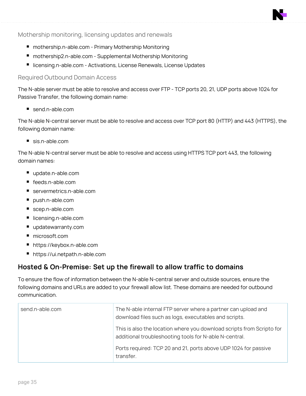#### Mothership monitoring, licensing updates and renewals

- mothership.n-able.com Primary Mothership Monitoring
- mothership2.n-able.com Supplemental Mothership Monitoring
- licensing.n-able.com Activations, License Renewals, License Updates

#### Required Outbound Domain Access

The N-able server must be able to resolve and access over FTP - TCP ports 20, 21, UDP ports above 1024 for Passive Transfer, the following domain name:

 $\blacksquare$  send.n-able.com

The N-able N-central server must be able to resolve and access over TCP port 80 (HTTP) and 443 (HTTPS), the following domain name:

 $\blacksquare$  sis.n-able.com

The N-able N-central server must be able to resolve and access using HTTPS TCP port 443, the following domain names:

- update.n-able.com
- feeds.n-able.com
- servermetrics.n-able.com
- push.n-able.com
- scep.n-able.com
- licensing.n-able.com
- n updatewarranty.com
- microsoft.com
- n https://keybox.n-able.com
- https://ui.netpath.n-able.com

# **Hosted & On-Premise: Set up the firewall to allow traffic to domains**

To ensure the flow of information between the N-able N-central server and outside sources, ensure the following domains and URLs are added to your firewall allow list. These domains are needed for outbound communication.

| send.n-able.com | The N-able internal FTP server where a partner can upload and<br>download files such as logs, executables and scripts.          |
|-----------------|---------------------------------------------------------------------------------------------------------------------------------|
|                 | This is also the location where you download scripts from Scripto for<br>additional troubleshooting tools for N-able N-central. |
|                 | Ports required: TCP 20 and 21, ports above UDP 1024 for passive<br>transfer.                                                    |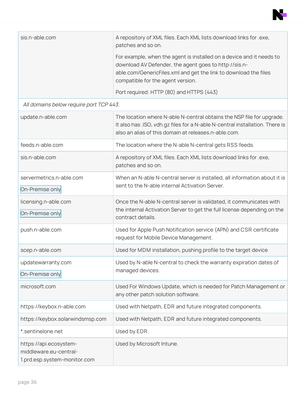

| sis.n-able.com | A repository of XML files. Each XML lists download links for .exe,<br>patches and so on.                                                                                                                                               |
|----------------|----------------------------------------------------------------------------------------------------------------------------------------------------------------------------------------------------------------------------------------|
|                | For example, when the agent is installed on a device and it needs to<br>download AV Defender, the agent goes to http://sis.n-<br>able.com/GenericFiles.xml and get the link to download the files<br>compatible for the agent version. |
|                | Port required: HTTP (80) and HTTPS (443)                                                                                                                                                                                               |

# All domains below require port TCP 443.

| update.n-able.com                                                                | The location where N-able N-central obtains the NSP file for upgrade.<br>It also has .ISO, vdh.gz files for a N-able N-central installation. There is<br>also an alias of this domain at releases.n-able.com. |
|----------------------------------------------------------------------------------|---------------------------------------------------------------------------------------------------------------------------------------------------------------------------------------------------------------|
| feeds.n-able.com                                                                 | The location where the N-able N-central gets RSS feeds.                                                                                                                                                       |
| sis.n-able.com                                                                   | A repository of XML files. Each XML lists download links for .exe,<br>patches and so on.                                                                                                                      |
| servermetrics.n-able.com<br>On-Premise only                                      | When an N-able N-central server is installed, all information about it is<br>sent to the N-able internal Activation Server.                                                                                   |
| licensing.n-able.com<br>On-Premise only                                          | Once the N-able N-central server is validated, it communicates with<br>the internal Activation Server to get the full license depending on the<br>contract details.                                           |
| push.n-able.com                                                                  | Used for Apple Push Notification service (APN) and CSR certificate<br>request for Mobile Device Management.                                                                                                   |
| scep.n-able.com                                                                  | Used for MDM installation, pushing profile to the target device                                                                                                                                               |
| updatewarranty.com<br>On-Premise only                                            | Used by N-able N-central to check the warranty expiration dates of<br>managed devices.                                                                                                                        |
| microsoft.com                                                                    | Used For Windows Update, which is needed for Patch Management or<br>any other patch solution software.                                                                                                        |
| https://keybox.n-able.com                                                        | Used with Netpath, EDR and future integrated components.                                                                                                                                                      |
| https://keybox.solarwindsmsp.com                                                 | Used with Netpath, EDR and future integrated components.                                                                                                                                                      |
| *.sentinelone.net                                                                | Used by EDR.                                                                                                                                                                                                  |
| https://api.ecosystem-<br>middleware.eu-central-<br>1.prd.esp.system-monitor.com | Used by Microsoft Intune.                                                                                                                                                                                     |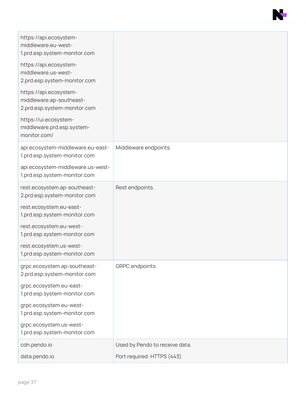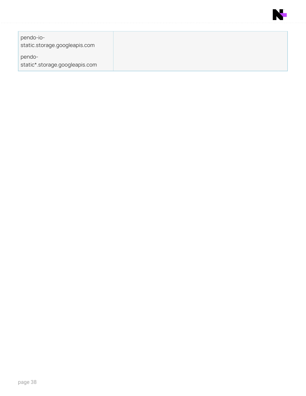

| pendo-io-<br>static.storage.googleapis.com |  |
|--------------------------------------------|--|
| pendo-<br>static*.storage.googleapis.com   |  |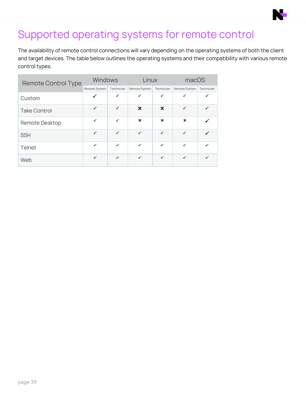# Supported operating systems for remote control

The availability of remote control connections will vary depending on the operating systems of both the client and target devices. The table below outlines the operating systems and their compatibility with various remote control types.

| <b>Remote Control Type</b> | <b>Windows</b> |              | Linux         |              | macOS         |              |
|----------------------------|----------------|--------------|---------------|--------------|---------------|--------------|
|                            | Remote System  | Technician   | Remote System | Technician   | Remote System | Technician   |
| Custom                     | ✓              | ✓            | ✓             | ✓            | ✓             | ✓            |
| <b>Take Control</b>        | $\checkmark$   | ✓            | ×             | ×            | $\checkmark$  | $\checkmark$ |
| Remote Desktop             | ✓              | ✓            | ×             | ×            | ×             |              |
| <b>SSH</b>                 | $\checkmark$   | ✓            | ✓             | $\checkmark$ | ✓             | ✓            |
| Telnet                     | $\checkmark$   | ✓            | ✓             | $\checkmark$ | ✓             | ✓            |
| Web                        | $\checkmark$   | $\checkmark$ | $\checkmark$  | $\checkmark$ | $\checkmark$  | $\checkmark$ |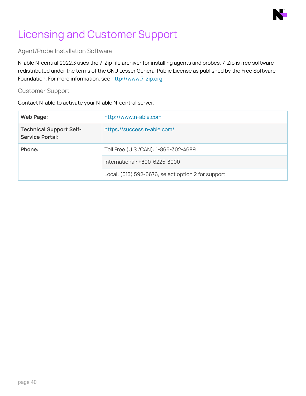# Licensing and Customer Support

### Agent/Probe Installation Software

N-able N-central 2022.3 uses the 7-Zip file archiver for installing agents and probes. 7-Zip is free software redistributed under the terms of the GNU Lesser General Public License as published by the Free Software Foundation. For more information, see [http://www.7-zip.org.](http://www.7-zip.org/)

#### Customer Support

Contact N-able to activate your N-able N-central server.

| Web Page:                                                | http://www.n-able.com                              |
|----------------------------------------------------------|----------------------------------------------------|
| <b>Technical Support Self-</b><br><b>Service Portal:</b> | https://success.n-able.com/                        |
| Phone:                                                   | Toll Free (U.S./CAN): 1-866-302-4689               |
|                                                          | International: +800-6225-3000                      |
|                                                          | Local: (613) 592-6676, select option 2 for support |